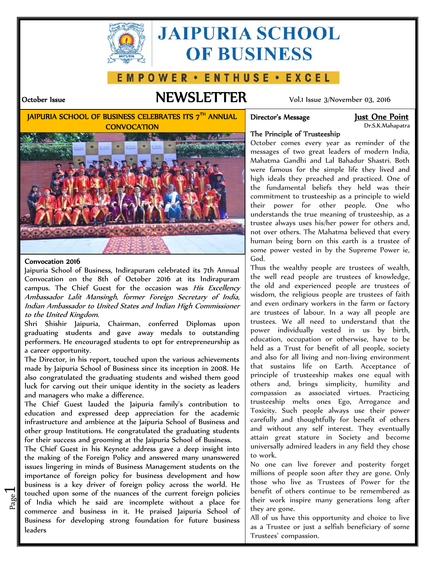

# **JAIPURIA SCHOOL OF BUSINESS**

#### WER · ENTHUSE · EXCEL <sup>0</sup>

# **October Issue NEWSLETTER** Vol.1 Issue 3/November 03, 2016

**JAIPURIA SCHOOL OF BUSINESS CELEBRATES ITS 7TH ANNUAL CONVOCATION**



Dr.S.K.Mahapatra



#### **Convocation 2016**

 $\overline{\phantom{0}}$ 

Jaipuria School of Business, Indirapuram celebrated its 7th Annual Convocation on the 8th of October 2016 at its Indirapuram campus. The Chief Guest for the occasion was *His Excellency Ambassador Lalit Mansingh, former Foreign Secretary of India, Indian Ambassador to United States and Indian High Commissioner to the United Kingdom.*

Shri Shishir Jaipuria, Chairman, conferred Diplomas upon graduating students and gave away medals to outstanding performers. He encouraged students to opt for entrepreneurship as a career opportunity.

The Director, in his report, touched upon the various achievements made by Jaipuria School of Business since its inception in 2008. He also congratulated the graduating students and wished them good luck for carving out their unique identity in the society as leaders and managers who make a difference.

The Chief Guest lauded the Jaipuria family's contribution to education and expressed deep appreciation for the academic infrastructure and ambience at the Jaipuria School of Business and other group Institutions. He congratulated the graduating students for their success and grooming at the Jaipuria School of Business.

 $\frac{80}{2}$  of India which he said are incomplete without a place for the  $\frac{60}{2}$ touched upon some of the nuances of the current foreign policies  $\vert$  ben The Chief Guest in his Keynote address gave a deep insight into the making of the Foreign Policy and answered many unanswered issues lingering in minds of Business Management students on the importance of foreign policy for business development and how business is a key driver of foreign policy across the world. He commerce and business in it. He praised Jaipuria School of Business for developing strong foundation for future business leaders

## **The Principle of Trusteeship**

October comes every year as reminder of the messages of two great leaders of modern India, Mahatma Gandhi and Lal Bahadur Shastri. Both were famous for the simple life they lived and high ideals they preached and practiced. One of the fundamental beliefs they held was their commitment to trusteeship as a principle to wield their power for other people. One who understands the true meaning of trusteeship, as a trustee always uses his/her power for others and, not over others. The Mahatma believed that every human being born on this earth is a trustee of some power vested in by the Supreme Power ie, God.

Thus the wealthy people are trustees of wealth, the well read people are trustees of knowledge, the old and experienced people are trustees of wisdom, the religious people are trustees of faith and even ordinary workers in the farm or factory are trustees of labour. In a way all people are trustees. We all need to understand that the power individually vested in us by birth, education, occupation or otherwise, have to be held as a Trust for benefit of all people, society and also for all living and non-living environment that sustains life on Earth. Acceptance of principle of trusteeship makes one equal with others and, brings simplicity, humility and compassion as associated virtues. Practicing trusteeship melts ones Ego, Arrogance and Toxicity. Such people always use their power carefully and thoughtfully for benefit of others and without any self interest. They eventually attain great stature in Society and become universally admired leaders in any field they chose to work.

No one can live forever and posterity forget millions of people soon after they are gone. Only those who live as Trustees of Power for the benefit of others continue to be remembered as their work inspire many generations long after they are gone.

All of us have this opportunity and choice to live as a Trustee or just a selfish beneficiary of some Trustees' compassion.